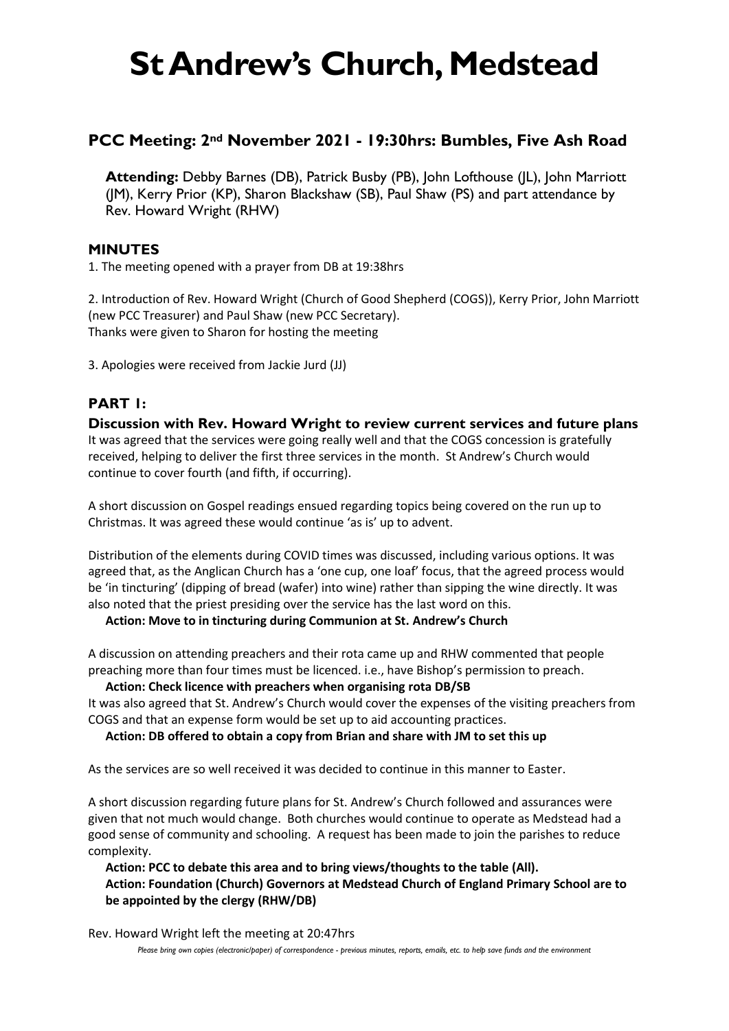# **St Andrew's Church, Medstead**

# **PCC Meeting: 2nd November 2021 - 19:30hrs: Bumbles, Five Ash Road**

**Attending:** Debby Barnes (DB), Patrick Busby (PB), John Lofthouse (JL), John Marriott (JM), Kerry Prior (KP), Sharon Blackshaw (SB), Paul Shaw (PS) and part attendance by Rev. Howard Wright (RHW)

# **MINUTES**

1. The meeting opened with a prayer from DB at 19:38hrs

2. Introduction of Rev. Howard Wright (Church of Good Shepherd (COGS)), Kerry Prior, John Marriott (new PCC Treasurer) and Paul Shaw (new PCC Secretary). Thanks were given to Sharon for hosting the meeting

3. Apologies were received from Jackie Jurd (JJ)

# **PART 1:**

**Discussion with Rev. Howard Wright to review current services and future plans** It was agreed that the services were going really well and that the COGS concession is gratefully received, helping to deliver the first three services in the month. St Andrew's Church would continue to cover fourth (and fifth, if occurring).

A short discussion on Gospel readings ensued regarding topics being covered on the run up to Christmas. It was agreed these would continue 'as is' up to advent.

Distribution of the elements during COVID times was discussed, including various options. It was agreed that, as the Anglican Church has a 'one cup, one loaf' focus, that the agreed process would be 'in tincturing' (dipping of bread (wafer) into wine) rather than sipping the wine directly. It was also noted that the priest presiding over the service has the last word on this.

## **Action: Move to in tincturing during Communion at St. Andrew's Church**

A discussion on attending preachers and their rota came up and RHW commented that people preaching more than four times must be licenced. i.e., have Bishop's permission to preach.

**Action: Check licence with preachers when organising rota DB/SB**

It was also agreed that St. Andrew's Church would cover the expenses of the visiting preachers from COGS and that an expense form would be set up to aid accounting practices.

#### **Action: DB offered to obtain a copy from Brian and share with JM to set this up**

As the services are so well received it was decided to continue in this manner to Easter.

A short discussion regarding future plans for St. Andrew's Church followed and assurances were given that not much would change. Both churches would continue to operate as Medstead had a good sense of community and schooling. A request has been made to join the parishes to reduce complexity.

**Action: PCC to debate this area and to bring views/thoughts to the table (All). Action: Foundation (Church) Governors at Medstead Church of England Primary School are to be appointed by the clergy (RHW/DB)**

Rev. Howard Wright left the meeting at 20:47hrs

*Please bring own copies (electronic/paper) of correspondence - previous minutes, reports, emails, etc. to help save funds and the environment*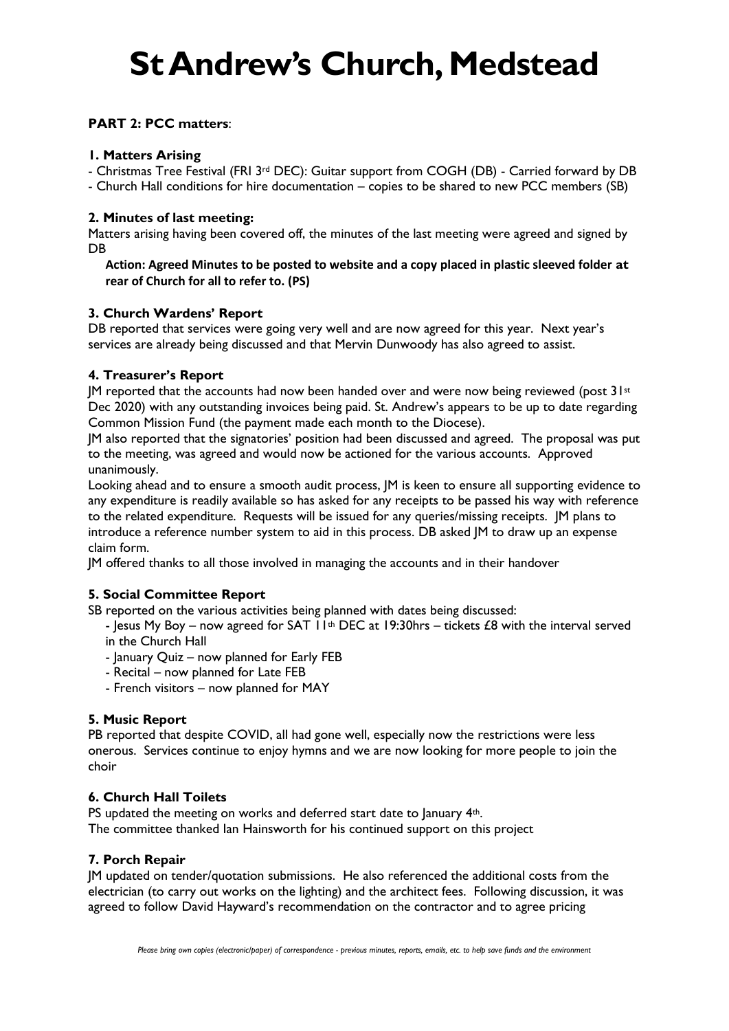# **St Andrew's Church, Medstead**

## **PART 2: PCC matters**:

#### **1. Matters Arising**

- Christmas Tree Festival (FRI 3rd DEC): Guitar support from COGH (DB) - Carried forward by DB - Church Hall conditions for hire documentation – copies to be shared to new PCC members (SB)

#### **2. Minutes of last meeting:**

Matters arising having been covered off, the minutes of the last meeting were agreed and signed by **DB** 

**Action: Agreed Minutes to be posted to website and a copy placed in plastic sleeved folder at rear of Church for all to refer to. (PS)**

## **3. Church Wardens' Report**

DB reported that services were going very well and are now agreed for this year. Next year's services are already being discussed and that Mervin Dunwoody has also agreed to assist.

#### **4. Treasurer's Report**

IM reported that the accounts had now been handed over and were now being reviewed (post  $31st$ Dec 2020) with any outstanding invoices being paid. St. Andrew's appears to be up to date regarding Common Mission Fund (the payment made each month to the Diocese).

JM also reported that the signatories' position had been discussed and agreed. The proposal was put to the meeting, was agreed and would now be actioned for the various accounts. Approved unanimously.

Looking ahead and to ensure a smooth audit process, JM is keen to ensure all supporting evidence to any expenditure is readily available so has asked for any receipts to be passed his way with reference to the related expenditure. Requests will be issued for any queries/missing receipts. JM plans to introduce a reference number system to aid in this process. DB asked JM to draw up an expense claim form.

JM offered thanks to all those involved in managing the accounts and in their handover

## **5. Social Committee Report**

SB reported on the various activities being planned with dates being discussed:

- lesus My Boy – now agreed for SAT  $11^{th}$  DEC at 19:30hrs – tickets £8 with the interval served in the Church Hall

- January Quiz now planned for Early FEB
- Recital now planned for Late FEB
- French visitors now planned for MAY

## **5. Music Report**

PB reported that despite COVID, all had gone well, especially now the restrictions were less onerous. Services continue to enjoy hymns and we are now looking for more people to join the choir

## **6. Church Hall Toilets**

PS updated the meeting on works and deferred start date to January 4<sup>th</sup>. The committee thanked Ian Hainsworth for his continued support on this project

#### **7. Porch Repair**

JM updated on tender/quotation submissions. He also referenced the additional costs from the electrician (to carry out works on the lighting) and the architect fees. Following discussion, it was agreed to follow David Hayward's recommendation on the contractor and to agree pricing